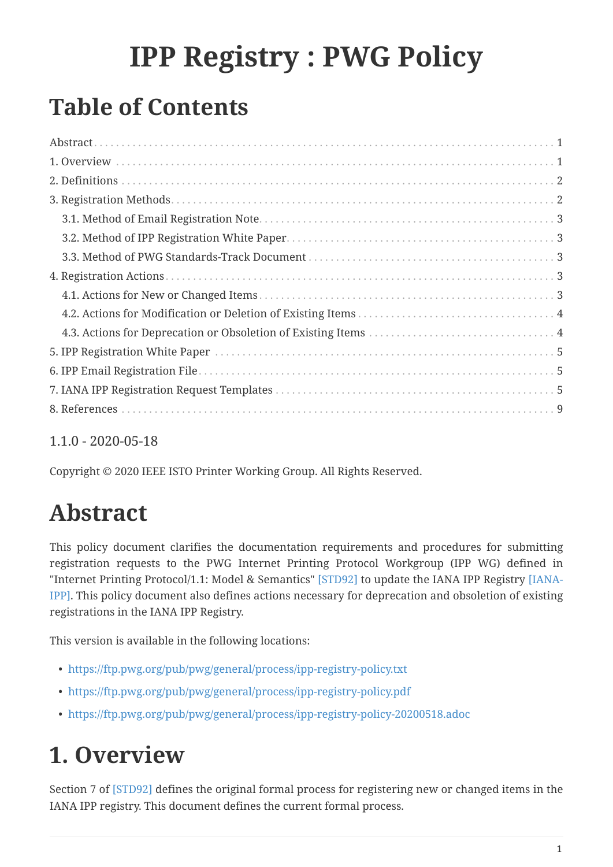# **IPP Registry : PWG Policy**

## **Table of Contents**

#### 1.1.0 - 2020-05-18

Copyright © 2020 IEEE ISTO Printer Working Group. All Rights Reserved.

### <span id="page-0-0"></span>**Abstract**

This policy document clarifies the documentation requirements and procedures for submitting registration requests to the PWG Internet Printing Protocol Workgroup (IPP WG) defined in "Internet Printing Protocol/1.1: Model & Semantics" [\[STD92\]](#page-8-0) to update the IANA IPP Registry [\[IANA-](#page-8-1)[IPP\].](#page-8-1) This policy document also defines actions necessary for deprecation and obsoletion of existing registrations in the IANA IPP Registry.

This version is available in the following locations:

- <https://ftp.pwg.org/pub/pwg/general/process/ipp-registry-policy.txt>
- <https://ftp.pwg.org/pub/pwg/general/process/ipp-registry-policy.pdf>
- <https://ftp.pwg.org/pub/pwg/general/process/ipp-registry-policy-20200518.adoc>

## <span id="page-0-1"></span>**1. Overview**

Section 7 of [\[STD92\]](#page-8-0) defines the original formal process for registering new or changed items in the IANA IPP registry. This document defines the current formal process.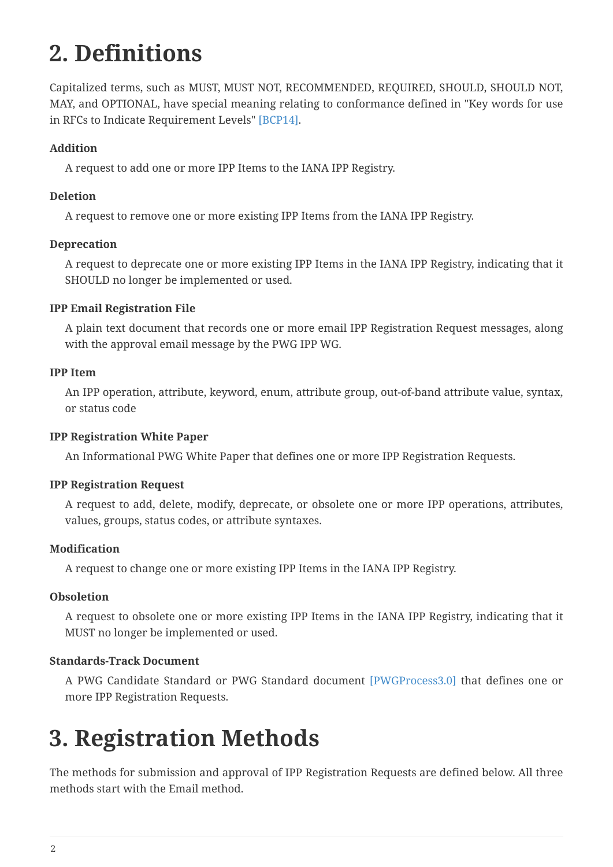## <span id="page-1-0"></span>**2. Definitions**

Capitalized terms, such as MUST, MUST NOT, RECOMMENDED, REQUIRED, SHOULD, SHOULD NOT, MAY, and OPTIONAL, have special meaning relating to conformance defined in "Key words for use in RFCs to Indicate Requirement Levels" [\[BCP14\]](#page-8-3).

#### **Addition**

A request to add one or more IPP Items to the IANA IPP Registry.

#### **Deletion**

A request to remove one or more existing IPP Items from the IANA IPP Registry.

#### **Deprecation**

A request to deprecate one or more existing IPP Items in the IANA IPP Registry, indicating that it SHOULD no longer be implemented or used.

#### **IPP Email Registration File**

A plain text document that records one or more email IPP Registration Request messages, along with the approval email message by the PWG IPP WG.

#### **IPP Item**

An IPP operation, attribute, keyword, enum, attribute group, out-of-band attribute value, syntax, or status code

#### **IPP Registration White Paper**

An Informational PWG White Paper that defines one or more IPP Registration Requests.

#### **IPP Registration Request**

A request to add, delete, modify, deprecate, or obsolete one or more IPP operations, attributes, values, groups, status codes, or attribute syntaxes.

#### **Modification**

A request to change one or more existing IPP Items in the IANA IPP Registry.

#### **Obsoletion**

A request to obsolete one or more existing IPP Items in the IANA IPP Registry, indicating that it MUST no longer be implemented or used.

#### **Standards-Track Document**

A PWG Candidate Standard or PWG Standard document [\[PWGProcess3.0\]](#page-8-4) that defines one or more IPP Registration Requests.

### <span id="page-1-1"></span>**3. Registration Methods**

The methods for submission and approval of IPP Registration Requests are defined below. All three methods start with the Email method.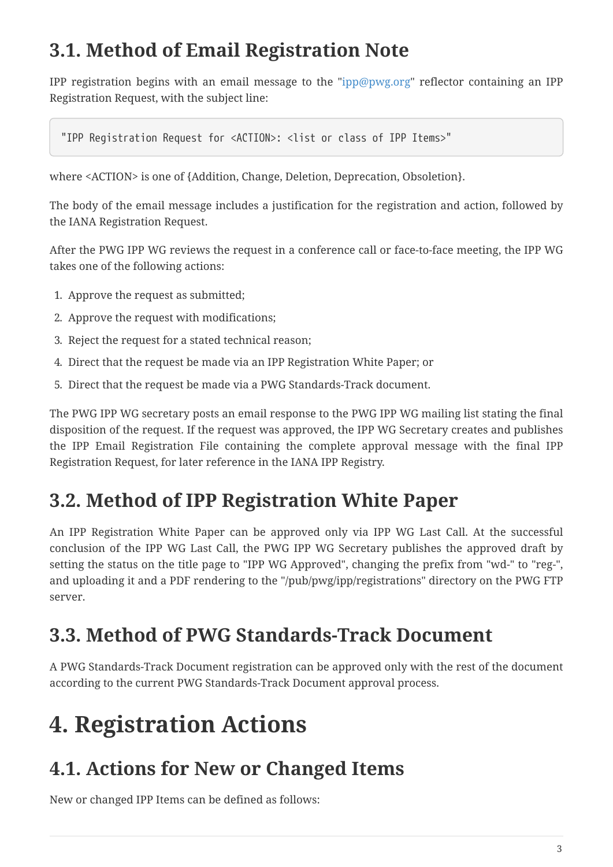### <span id="page-2-0"></span>**3.1. Method of Email Registration Note**

IPP registration begins with an email message to the ["ipp@pwg.org"](mailto:ipp@pwg.org) reflector containing an IPP Registration Request, with the subject line:

"IPP Registration Request for <ACTION>: <list or class of IPP Items>"

where <ACTION> is one of {Addition, Change, Deletion, Deprecation, Obsoletion}.

The body of the email message includes a justification for the registration and action, followed by the IANA Registration Request.

After the PWG IPP WG reviews the request in a conference call or face-to-face meeting, the IPP WG takes one of the following actions:

- 1. Approve the request as submitted;
- 2. Approve the request with modifications;
- 3. Reject the request for a stated technical reason;
- 4. Direct that the request be made via an IPP Registration White Paper; or
- 5. Direct that the request be made via a PWG Standards-Track document.

The PWG IPP WG secretary posts an email response to the PWG IPP WG mailing list stating the final disposition of the request. If the request was approved, the IPP WG Secretary creates and publishes the IPP Email Registration File containing the complete approval message with the final IPP Registration Request, for later reference in the IANA IPP Registry.

### <span id="page-2-1"></span>**3.2. Method of IPP Registration White Paper**

An IPP Registration White Paper can be approved only via IPP WG Last Call. At the successful conclusion of the IPP WG Last Call, the PWG IPP WG Secretary publishes the approved draft by setting the status on the title page to "IPP WG Approved", changing the prefix from "wd-" to "reg-", and uploading it and a PDF rendering to the "/pub/pwg/ipp/registrations" directory on the PWG FTP server.

### <span id="page-2-2"></span>**3.3. Method of PWG Standards-Track Document**

A PWG Standards-Track Document registration can be approved only with the rest of the document according to the current PWG Standards-Track Document approval process.

## <span id="page-2-3"></span>**4. Registration Actions**

### <span id="page-2-4"></span>**4.1. Actions for New or Changed Items**

New or changed IPP Items can be defined as follows: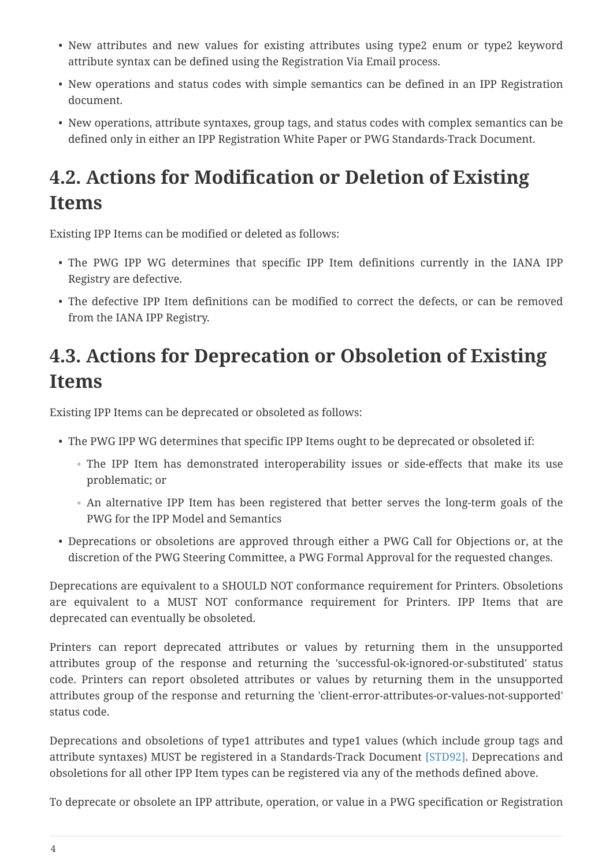- New attributes and new values for existing attributes using type2 enum or type2 keyword attribute syntax can be defined using the Registration Via Email process.
- New operations and status codes with simple semantics can be defined in an IPP Registration document.
- New operations, attribute syntaxes, group tags, and status codes with complex semantics can be defined only in either an IPP Registration White Paper or PWG Standards-Track Document.

### <span id="page-3-0"></span>**4.2. Actions for Modification or Deletion of Existing Items**

Existing IPP Items can be modified or deleted as follows:

- The PWG IPP WG determines that specific IPP Item definitions currently in the IANA IPP Registry are defective.
- The defective IPP Item definitions can be modified to correct the defects, or can be removed from the IANA IPP Registry.

### <span id="page-3-1"></span>**4.3. Actions for Deprecation or Obsoletion of Existing Items**

Existing IPP Items can be deprecated or obsoleted as follows:

- The PWG IPP WG determines that specific IPP Items ought to be deprecated or obsoleted if:
	- The IPP Item has demonstrated interoperability issues or side-effects that make its use problematic; or
	- An alternative IPP Item has been registered that better serves the long-term goals of the PWG for the IPP Model and Semantics
- Deprecations or obsoletions are approved through either a PWG Call for Objections or, at the discretion of the PWG Steering Committee, a PWG Formal Approval for the requested changes.

Deprecations are equivalent to a SHOULD NOT conformance requirement for Printers. Obsoletions are equivalent to a MUST NOT conformance requirement for Printers. IPP Items that are deprecated can eventually be obsoleted.

Printers can report deprecated attributes or values by returning them in the unsupported attributes group of the response and returning the 'successful-ok-ignored-or-substituted' status code. Printers can report obsoleted attributes or values by returning them in the unsupported attributes group of the response and returning the 'client-error-attributes-or-values-not-supported' status code.

Deprecations and obsoletions of type1 attributes and type1 values (which include group tags and attribute syntaxes) MUST be registered in a Standards-Track Document [\[STD92\]](#page-8-0). Deprecations and obsoletions for all other IPP Item types can be registered via any of the methods defined above.

To deprecate or obsolete an IPP attribute, operation, or value in a PWG specification or Registration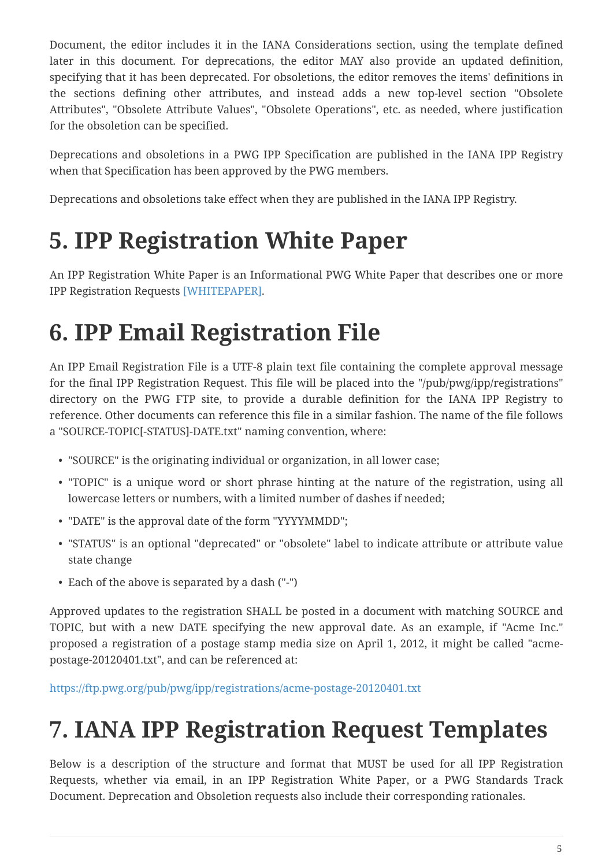Document, the editor includes it in the IANA Considerations section, using the template defined later in this document. For deprecations, the editor MAY also provide an updated definition, specifying that it has been deprecated. For obsoletions, the editor removes the items' definitions in the sections defining other attributes, and instead adds a new top-level section "Obsolete Attributes", "Obsolete Attribute Values", "Obsolete Operations", etc. as needed, where justification for the obsoletion can be specified.

Deprecations and obsoletions in a PWG IPP Specification are published in the IANA IPP Registry when that Specification has been approved by the PWG members.

Deprecations and obsoletions take effect when they are published in the IANA IPP Registry.

## <span id="page-4-0"></span>**5. IPP Registration White Paper**

An IPP Registration White Paper is an Informational PWG White Paper that describes one or more IPP Registration Requests [\[WHITEPAPER\]](#page-8-5).

## <span id="page-4-1"></span>**6. IPP Email Registration File**

An IPP Email Registration File is a UTF-8 plain text file containing the complete approval message for the final IPP Registration Request. This file will be placed into the "/pub/pwg/ipp/registrations" directory on the PWG FTP site, to provide a durable definition for the IANA IPP Registry to reference. Other documents can reference this file in a similar fashion. The name of the file follows a "SOURCE-TOPIC[-STATUS]-DATE.txt" naming convention, where:

- "SOURCE" is the originating individual or organization, in all lower case;
- "TOPIC" is a unique word or short phrase hinting at the nature of the registration, using all lowercase letters or numbers, with a limited number of dashes if needed;
- "DATE" is the approval date of the form "YYYYMMDD";
- "STATUS" is an optional "deprecated" or "obsolete" label to indicate attribute or attribute value state change
- Each of the above is separated by a dash ("-")

Approved updates to the registration SHALL be posted in a document with matching SOURCE and TOPIC, but with a new DATE specifying the new approval date. As an example, if "Acme Inc." proposed a registration of a postage stamp media size on April 1, 2012, it might be called "acmepostage-20120401.txt", and can be referenced at:

<https://ftp.pwg.org/pub/pwg/ipp/registrations/acme-postage-20120401.txt>

## <span id="page-4-2"></span>**7. IANA IPP Registration Request Templates**

Below is a description of the structure and format that MUST be used for all IPP Registration Requests, whether via email, in an IPP Registration White Paper, or a PWG Standards Track Document. Deprecation and Obsoletion requests also include their corresponding rationales.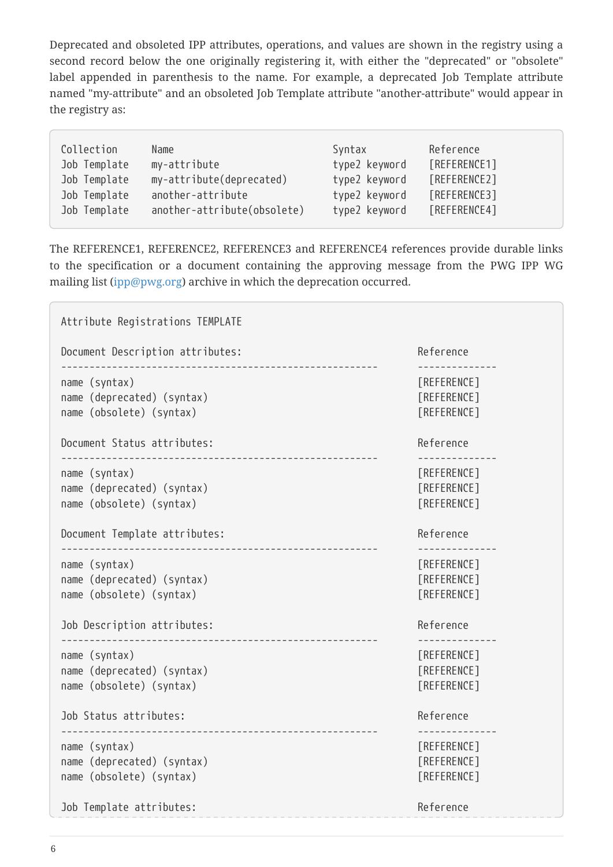Deprecated and obsoleted IPP attributes, operations, and values are shown in the registry using a second record below the one originally registering it, with either the "deprecated" or "obsolete" label appended in parenthesis to the name. For example, a deprecated Job Template attribute named "my-attribute" and an obsoleted Job Template attribute "another-attribute" would appear in the registry as:

| Collection<br>Name<br>Job Template<br>my-attribute<br>Job Template<br>my-attribute(deprecated)<br>Job Template<br>another-attribute | Syntax<br>type2 keyword<br>type2 keyword<br>type2 keyword | Reference<br>[REFERENCE1]<br>[REFERENCE2]<br>[REFERENCE3] |
|-------------------------------------------------------------------------------------------------------------------------------------|-----------------------------------------------------------|-----------------------------------------------------------|
| Job Template<br>another-attribute(obsolete)                                                                                         | type2 keyword                                             | [REFERENCE4]                                              |

The REFERENCE1, REFERENCE2, REFERENCE3 and REFERENCE4 references provide durable links to the specification or a document containing the approving message from the PWG IPP WG mailing list ([ipp@pwg.org\)](mailto:ipp@pwg.org) archive in which the deprecation occurred.

```
Attribute Registrations TEMPLATE
Document Description attributes: The contract of the Reference
-------------------------------------------------------- --------------
name (syntax) [REFERENCE]
name (deprecated) (syntax) [REFERENCE]
name (obsolete) (syntax) [REFERENCE]
Document Status attributes: Reference
-------------------------------------------------------- --------------
name (syntax) [REFERENCE]
name (deprecated) (syntax) [REFERENCE]
name (obsolete) (syntax) [REFERENCE]
Document Template attributes: Notified and the set of the Reference
                  -------------------------------------------------------- --------------
name (syntax) [REFERENCE]
name (deprecated) (syntax) [REFERENCE]
name (obsolete) (syntax) [REFERENCE]
Job Description attributes: The Contract of the Reference Reference
                 -------------------------------------------------------- --------------
name (syntax) [REFERENCE]
name (deprecated) (syntax) and in the syntaxy control of [REFERENCE]name (obsolete) (syntax) [REFERENCE]
Job Status attributes: Reference
-------------------------------------------------------- --------------
name (syntax) [REFERENCE]
name (deprecated) (syntax) [REFERENCE]
name (obsolete) (syntax) [REFERENCE]
Job Template attributes: \qquad \qquad Reference
```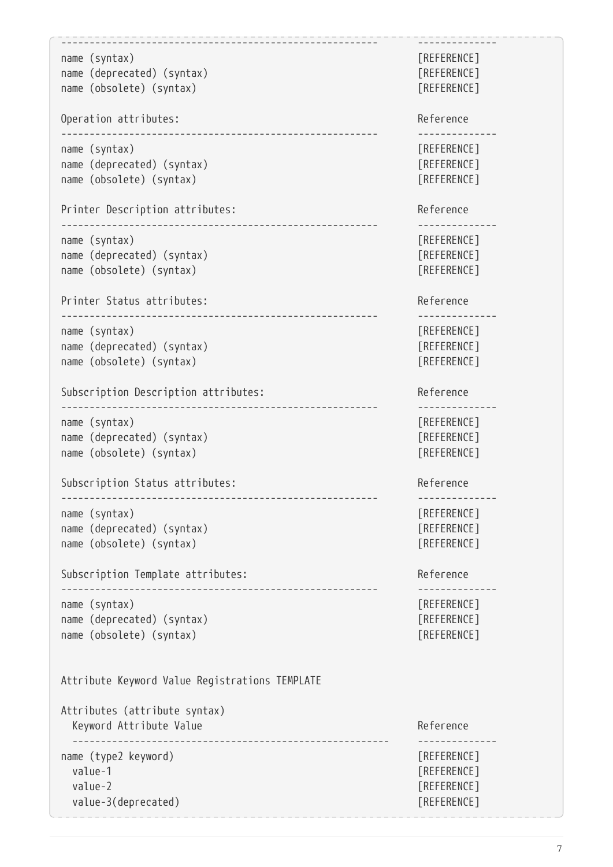```
-------------------------------------------------------- --------------
name (syntax) [REFERENCE]
name (deprecated) (syntax) [REFERENCE]
name (obsolete) (syntax) [REFERENCE]
Operation attributes: \qquad \qquad Reference
-------------------------------------------------------- --------------
name (syntax) [REFERENCE]
name (deprecated) (syntax) and a set of [REFERENCE]name (obsolete) (syntax) [REFERENCE]
Printer Description attributes: The contract of the Reference
        -------------------------------------------------------- --------------
name (syntax) [REFERENCE]
name (deprecated) (syntax) [REFERENCE]
name (obsolete) (syntax) [REFERENCE]
Printer Status attributes: example and the Reference of the Reference
         -------------------------------------------------------- --------------
name (syntax) [REFERENCE]
name (deprecated) (syntax) and a set of [REFERENCE]name (obsolete) (syntax) [REFERENCE]
Subscription Description attributes: example and the Reference
            -------------------------------------------------------- --------------
name (syntax) [REFERENCE]
name (deprecated) (syntax) and a set of [REFERENCE]name (obsolete) (syntax) [REFERENCE]
Subscription Status attributes: \qquad \qquad Reference
          -------------------------------------------------------- --------------
name (syntax) [REFERENCE]
name (deprecated) (syntax) and a set of [REFERENCE]name (obsolete) (syntax) [REFERENCE]
Subscription Template attributes: \qquad \qquad Reference
         -------------------------------------------------------- --------------
name (syntax) [REFERENCE]
name (deprecated) (syntax) [REFERENCE]
name (obsolete) (syntax) [REFERENCE]
Attribute Keyword Value Registrations TEMPLATE
Attributes (attribute syntax)
 Keyword Attribute Value Reference
      -------------------------------------------------------- --------------
name (type2 keyword) and a set of the set of the set of the set of the set of the set of the set of the set of the set of the set of the set of the set of the set of the set of the set of the set of the set of the set of t
 value-1 [REFERENCE]
 value-2 [REFERENCE]
 value-3(deprecated) and a set of the set of the set of the set of the set of the set of the set of the set of the set of the set of the set of the set of the set of the set of the set of the set of the set of the set of th
```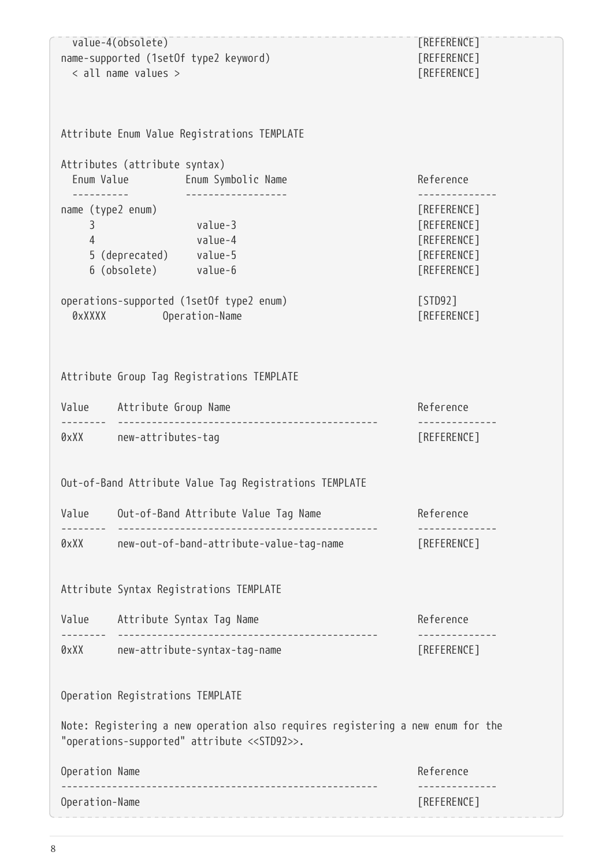| Operation-Name                                                                                                   |                                                                                                                                                                              | [REFERENCE]                              |
|------------------------------------------------------------------------------------------------------------------|------------------------------------------------------------------------------------------------------------------------------------------------------------------------------|------------------------------------------|
| Operation Name                                                                                                   |                                                                                                                                                                              | Reference                                |
|                                                                                                                  | Note: Registering a new operation also requires registering a new enum for the<br>"operations-supported" attribute < <std92>&gt;.</std92>                                    |                                          |
|                                                                                                                  | Operation Registrations TEMPLATE                                                                                                                                             |                                          |
|                                                                                                                  | 0xXX new-attribute-syntax-tag-name                                                                                                                                           | [REFERENCE]                              |
|                                                                                                                  | Value Attribute Syntax Tag Name                                                                                                                                              | Reference                                |
|                                                                                                                  | Attribute Syntax Registrations TEMPLATE                                                                                                                                      |                                          |
| 0xXX and the control of the control of the control of the control of the control of the control of the control   | new-out-of-band-attribute-value-tag-name                                                                                                                                     | [REFERENCE]                              |
| Value                                                                                                            | Out-of-Band Attribute Value Tag Name                                                                                                                                         | Reference                                |
|                                                                                                                  | Out-of-Band Attribute Value Tag Registrations TEMPLATE                                                                                                                       |                                          |
| 0xXX and the control of the control of the control of the control of the control of the control of the control o | new-attributes-tag                                                                                                                                                           | [REFERENCE]                              |
|                                                                                                                  | Value Attribute Group Name                                                                                                                                                   | Reference<br>. _ _ _ _ _ _ _ _ _ _ _ _ _ |
|                                                                                                                  | Attribute Group Tag Registrations TEMPLATE                                                                                                                                   |                                          |
|                                                                                                                  | operations-supported (1setOf type2 enum)<br>0xXXXX Development of the control of the control of the control of the control of the control of the control o<br>Operation-Name | [STD92]<br>[REFERENCE]                   |
|                                                                                                                  | 6 (obsolete) value-6                                                                                                                                                         | [REFERENCE]                              |
|                                                                                                                  | 5 (deprecated) value-5                                                                                                                                                       | [REFERENCE]<br>[REFERENCE]               |
| 3<br>$\overline{4}$                                                                                              | name (type2 enum)<br>value-3<br>value-4                                                                                                                                      | [REFERENCE]<br>[REFERENCE]               |
|                                                                                                                  | Attributes (attribute syntax)<br>Enum Value Fnum Symbolic Name                                                                                                               | Reference                                |
|                                                                                                                  | Attribute Enum Value Registrations TEMPLATE                                                                                                                                  |                                          |
|                                                                                                                  |                                                                                                                                                                              |                                          |
| < all name values >                                                                                              |                                                                                                                                                                              | [REFERENCE]                              |
| value-4(obsolete)<br>name-supported (1setOf type2 keyword)                                                       |                                                                                                                                                                              | [REFERENCE]<br>[REFERENCE]               |
|                                                                                                                  |                                                                                                                                                                              |                                          |